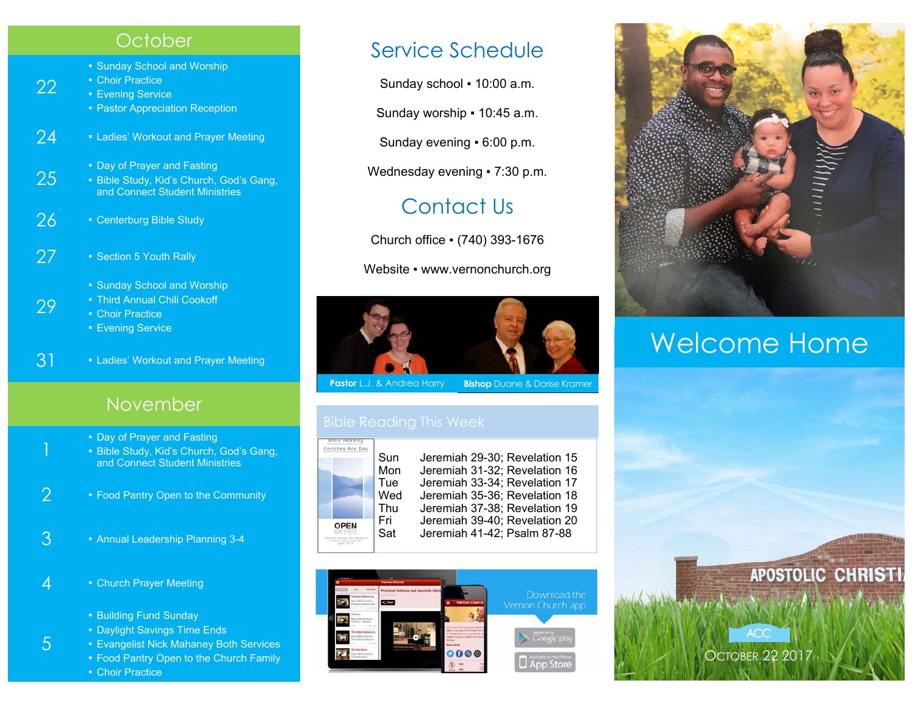### **October**

- Sunday School and Worship
- **Choir Practice**

22

29

5

- **Evening Service**
- **Pastor Appreciation Reception**
- 24 Ladies' Workout and Prayer Meeting
	-
- Day of Prayer and Fasting<br>25 Bible Study, Kid's Church, God's Gang, and Connect Student Ministries
- 26 Centerburg Bible Study
- 27 Section 5 Youth Rally
	- Sunday School and Worship
	- Third Annual Chili Cookoff
	- Choir Practice
		- **Evening Service**
- 3<sup>1</sup> Ladies' Workout and Prayer Meeting

### November

- Day of Prayer and Fasting
- **E** Bible Study, Kid's Church, God's Gang, and Connect Student Ministries
- 2  **Food Pantry Open to the Community**
- 3 Annual Leadership Planning 3-4
- $4$  Church Prayer Meeting
	- Building Fund Sunday
	- Daylight Savings Time Ends
	- **Evangelist Nick Mahaney Both Services**
	- Food Pantry Open to the Church Family ■ Choir Practice

## Service Schedule

Sunday school ▪ 10:00 a.m.

Sunday worship ▪ 10:45 a.m.

Sunday evening ▪ 6:00 p.m.

Wednesday evening • 7:30 p.m.

# Contact Us

Church office ▪ (740) 393-1676

Website • www.vernonchurch.org



**Pastor** L.J. & Andrea Harry **Bishop** Duane & Dorise Kramer



Sun Jeremiah 29-30; Revelation 15 Mon Jeremiah 31-32; Revelation 16 Tue Jeremiah 33-34; Revelation 17 Jeremiah 35-36; Revelation 18 Thu Jeremiah 37-38; Revelation 19 Fri Jeremiah 39-40; Revelation 20 Sat Jeremiah 41-42; Psalm 87-88





# Welcome Home